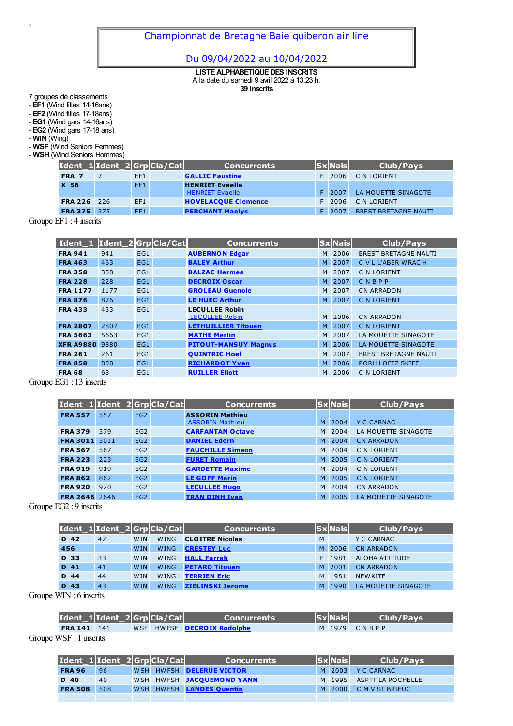## Du 09/04/2022 au 10/04/2022

**LISTE ALPHABETIQUE DES INSCRITS** A la date du samedi 9 avril 2022 à 13.23 h. **39 Inscrits**

7 groupes de classements

- **EF1** (Wind filles 14-16ans)

- **EF2** (Wind filles 17-18ans)

- **EG1** (Wind gars 14-16ans) - **EG2** (Wind gars 17-18 ans)

- **WIN** (Wing)

 $\overline{\phantom{a}}$ 

- **WSF** (Wind Seniors Femmes)

- **WSH** (Wind Seniors Hommes)

|                | Ident_1 Ident_2 Grp Cla/Cat |     | <b>Concurrents</b>                               | <b>Sx</b> Nais | Club/Pays                   |
|----------------|-----------------------------|-----|--------------------------------------------------|----------------|-----------------------------|
| FRA 7          |                             | EF1 | <b>GALLIC Faustine</b>                           | F 2006         | C N LORIENT                 |
| X 56           |                             | EF1 | <b>HENRIET Evaelle</b><br><b>HENRIET Evaelle</b> | F 2007         | LA MOUETTE SINAGOTE         |
| <b>FRA 226</b> | 226                         | EF1 | <b>HOVELACQUE Clemence</b>                       | F 2006         | C N LORIENT                 |
| <b>FRA 375</b> | 375                         | EF1 | <b>PERCHANT Maelys</b>                           | 2007           | <b>BREST BRETAGNE NAUTI</b> |

Groupe EF1 : 4 inscrits

| Ident_1  Ident_2 Grp Cla/Cat |      |     | <b>Concurrents</b>                             |   | <b>Sx Nais</b> | <b>Club/Pays</b>            |
|------------------------------|------|-----|------------------------------------------------|---|----------------|-----------------------------|
| <b>FRA 941</b>               | 941  | EG1 | <b>AUBERNON Edgar</b>                          | M | 2006           | <b>BREST BRETAGNE NAUTI</b> |
| <b>FRA 463</b>               | 463  | EG1 | <b>BALEY Arthur</b>                            | M | 2007           | C V L L'ABER WRAC'H         |
| <b>FRA 358</b>               | 358  | EG1 | <b>BALZAC Hermes</b>                           | M | 2007           | C N LORIENT                 |
| <b>FRA 228</b>               | 228  | EG1 | <b>DECROIX Oscar</b>                           |   | M 2007         | CNBPP                       |
| <b>FRA 1177</b>              | 1177 | EG1 | <b>GROLEAU Guenole</b>                         | M | 2007           | <b>CN ARRADON</b>           |
| <b>FRA 876</b>               | 876  | EG1 | <b>LE HUEC Arthur</b>                          |   | M 2007         | <b>C N LORIENT</b>          |
| <b>FRA 433</b>               | 433  | EG1 | <b>LECULLEE Robin</b><br><b>LECULLEE Robin</b> | M | 2006           | <b>CN ARRADON</b>           |
| <b>FRA 2807</b>              | 2807 | EG1 | <b>LETHUILLIER Titouan</b>                     | M | 2007           | <b>C N LORIENT</b>          |
| <b>FRA 5663</b>              | 5663 | EG1 | <b>MATHE Merlin</b>                            | M | 2007           | LA MOUETTE SINAGOTE         |
| <b>XFR A9880</b>             | 9880 | EG1 | <b>PITOUT-MANSUY Magnus</b>                    |   | M 2006         | LA MOUETTE SINAGOTE         |
| <b>FRA 261</b>               | 261  | EG1 | <b>QUINTRIC Hoel</b>                           |   | M 2007         | <b>BREST BRETAGNE NAUTI</b> |
| <b>FRA 858</b>               | 858  | EG1 | <b>RICHARDOT Yvan</b>                          |   | M 2006         | PORH LOEIZ SKIFF            |
| <b>FRA 68</b>                | 68   | EG1 | <b>RUILLER Eliott</b>                          |   | M 2006         | C N LORIENT                 |

Groupe EG1 : 13 inscrits

| Ident_1 Ident_2 Grp Cla/Cat |      |                 | <b>Concurrents</b>      |    | <b>Sx</b> Nais | <b>Club/Pays</b>    |
|-----------------------------|------|-----------------|-------------------------|----|----------------|---------------------|
| <b>FRA 557</b>              | 557  | EG <sub>2</sub> | <b>ASSORIN Mathieu</b>  |    |                |                     |
|                             |      |                 | <b>ASSORIN Mathieu</b>  | M  | 2004           | <b>Y C CARNAC</b>   |
| <b>FRA 379</b>              | 379  | EG <sub>2</sub> | <b>CARFANTAN Octave</b> |    | M 2004         | LA MOUETTE SINAGOTE |
| <b>FRA 3011</b>             | 3011 | EG <sub>2</sub> | <b>DANIEL Edern</b>     | M. | 2004           | <b>CN ARRADON</b>   |
| <b>FRA 567</b>              | 567  | EG <sub>2</sub> | <b>FAUCHILLE Simeon</b> |    | M 2004         | C N LORIENT         |
| <b>FRA 223</b>              | 223  | EG2             | <b>FURET Romain</b>     | M. | 2005           | <b>C N LORIENT</b>  |
| <b>FRA 919</b>              | 919  | EG2             | <b>GARDETTE Maxime</b>  |    | M 2004         | C N LORIENT         |
| <b>FRA 862</b>              | 862  | EG <sub>2</sub> | <b>LE GOFF Marin</b>    | M. | 2005           | <b>C N LORIENT</b>  |
| <b>FRA 920</b>              | 920  | EG2             | <b>LECULLEE Hugo</b>    |    | M 2004         | <b>CN ARRADON</b>   |
| <b>FRA 2646</b>             | 2646 | EG <sub>2</sub> | <b>TRAN DINH Ivan</b>   | M. | 2005           | LA MOUETTE SINAGOTE |

Groupe EG2 : 9 inscrits

| Ident_1 Ident_2 Grp Cla/Cat |      |    |            |             | <b>Concurrents</b>      |   | $ Sx $ Nais | Club/Pays           |
|-----------------------------|------|----|------------|-------------|-------------------------|---|-------------|---------------------|
|                             | D 42 | 42 | <b>WIN</b> | <b>WING</b> | <b>CLOITRE Nicolas</b>  | M |             | Y C CARNAC          |
|                             | 456  |    | <b>WIN</b> | <b>WING</b> | <b>CRESTEY Luc</b>      |   | M 2006      | <b>CN ARRADON</b>   |
|                             | D 33 | 33 | <b>WIN</b> | <b>WING</b> | <b>HALL Farrah</b>      |   | F 1981      | ALOHA ATTITUDE      |
|                             | D 41 | 41 | <b>WIN</b> | <b>WING</b> | <b>PETARD Titouan</b>   |   | M 2001      | <b>CN ARRADON</b>   |
|                             | D 44 | 44 | <b>WIN</b> | <b>WING</b> | <b>TERRIEN Eric</b>     |   | M 1981      | <b>NEW KITE</b>     |
|                             | D 43 | 43 | <b>WIN</b> | <b>WING</b> | <b>ZIELINSKI Jerome</b> |   | M 1990      | LA MOUETTE SINAGOTE |

Groupe WIN : 6 inscrits

| Ident_1 Ident_2 Grp Cla/Cat |  | <b>Concurrents</b>                | $ Sx $ Nais | <b>Club/Pays</b> |
|-----------------------------|--|-----------------------------------|-------------|------------------|
| <b>FRA 141</b> 141          |  | WSF HWFSF <b>DECROIX Rodolphe</b> |             | M 1979 CNBPP     |
| ______                      |  |                                   |             |                  |

Groupe WSF : 1 inscrits

| Ident_1 Ident_2 Grp Cla/Cat |     |  | <b>Concurrents</b>        | <b>SxNais</b> | <b>Club/Pavs</b>         |
|-----------------------------|-----|--|---------------------------|---------------|--------------------------|
| <b>FRA 96</b>               | 96  |  | WSH HWFSH DELERUE VICTOR  |               | M 2003 YC CARNAC         |
| D 40                        | 40  |  | WSH HWFSH JACOUEMOND YANN |               | M 1995 ASPTT LA ROCHELLE |
| <b>FRA 508</b>              | 508 |  | WSH HWFSH LANDES Quentin  |               | M 2000 CMVST BRIEUC      |
|                             |     |  |                           |               |                          |